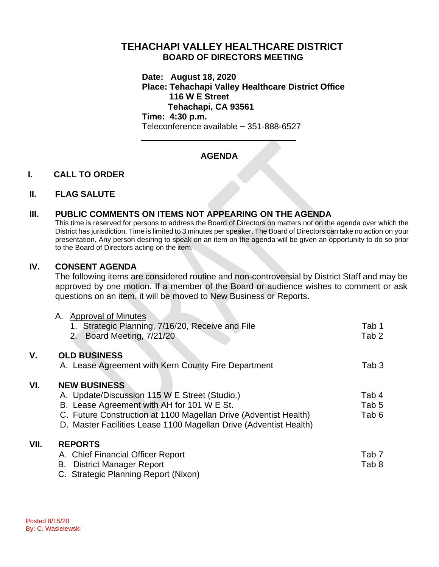## **TEHACHAPI VALLEY HEALTHCARE DISTRICT BOARD OF DIRECTORS MEETING**

**Date: August 18, 2020 Place: Tehachapi Valley Healthcare District Office 116 W E Street Tehachapi, CA 93561 Time: 4:30 p.m.**

Teleconference available ~ 351-888-6527

# **AGENDA**

### **I. CALL TO ORDER**

### **II. FLAG SALUTE**

### **III. PUBLIC COMMENTS ON ITEMS NOT APPEARING ON THE AGENDA**

This time is reserved for persons to address the Board of Directors on matters not on the agenda over which the District has jurisdiction. Time is limited to 3 minutes per speaker. The Board of Directors can take no action on your presentation. Any person desiring to speak on an item on the agenda will be given an opportunity to do so prior to the Board of Directors acting on the item.

### **IV. CONSENT AGENDA**

The following items are considered routine and non-controversial by District Staff and may be approved by one motion. If a member of the Board or audience wishes to comment or ask questions on an item, it will be moved to New Business or Reports.

|      | A. Approval of Minutes<br>Strategic Planning, 7/16/20, Receive and File<br>Board Meeting, 7/21/20<br>2.                                                                                                                                                     | Tab 1<br>Tab <sub>2</sub> |
|------|-------------------------------------------------------------------------------------------------------------------------------------------------------------------------------------------------------------------------------------------------------------|---------------------------|
| ۷.   | <b>OLD BUSINESS</b>                                                                                                                                                                                                                                         |                           |
|      | A. Lease Agreement with Kern County Fire Department                                                                                                                                                                                                         | Tab 3                     |
| VI.  | <b>NEW BUSINESS</b><br>A. Update/Discussion 115 W E Street (Studio.)<br>B. Lease Agreement with AH for 101 W E St.<br>C. Future Construction at 1100 Magellan Drive (Adventist Health)<br>D. Master Facilities Lease 1100 Magellan Drive (Adventist Health) | Tab 4<br>Tab 5<br>Tab 6   |
| VII. | <b>REPORTS</b><br>A. Chief Financial Officer Report<br><b>District Manager Report</b><br>В.<br>C. Strategic Planning Report (Nixon)                                                                                                                         | Tab <sub>7</sub><br>Tab 8 |

**VII.**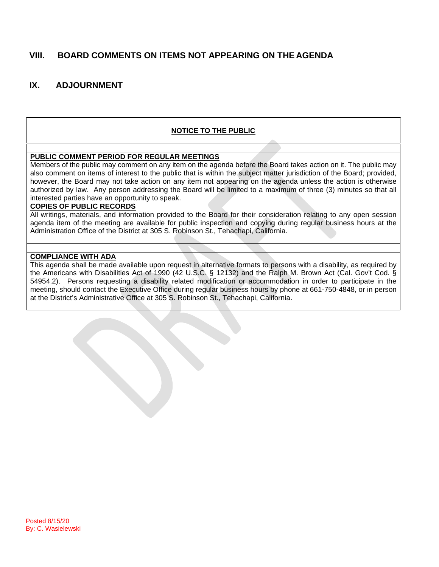## **VIII. BOARD COMMENTS ON ITEMS NOT APPEARING ON THE AGENDA**

## **IX. ADJOURNMENT**

### **NOTICE TO THE PUBLIC**

#### **PUBLIC COMMENT PERIOD FOR REGULAR MEETINGS**

Members of the public may comment on any item on the agenda before the Board takes action on it. The public may also comment on items of interest to the public that is within the subject matter jurisdiction of the Board; provided, however, the Board may not take action on any item not appearing on the agenda unless the action is otherwise authorized by law. Any person addressing the Board will be limited to a maximum of three (3) minutes so that all interested parties have an opportunity to speak.

#### **COPIES OF PUBLIC RECORDS**

All writings, materials, and information provided to the Board for their consideration relating to any open session agenda item of the meeting are available for public inspection and copying during regular business hours at the Administration Office of the District at 305 S. Robinson St., Tehachapi, California.

#### **COMPLIANCE WITH ADA**

This agenda shall be made available upon request in alternative formats to persons with a disability, as required by the Americans with Disabilities Act of 1990 (42 U.S.C. § 12132) and the Ralph M. Brown Act (Cal. Gov't Cod. § 54954.2). Persons requesting a disability related modification or accommodation in order to participate in the meeting, should contact the Executive Office during regular business hours by phone at 661-750-4848, or in person at the District's Administrative Office at 305 S. Robinson St., Tehachapi, California.